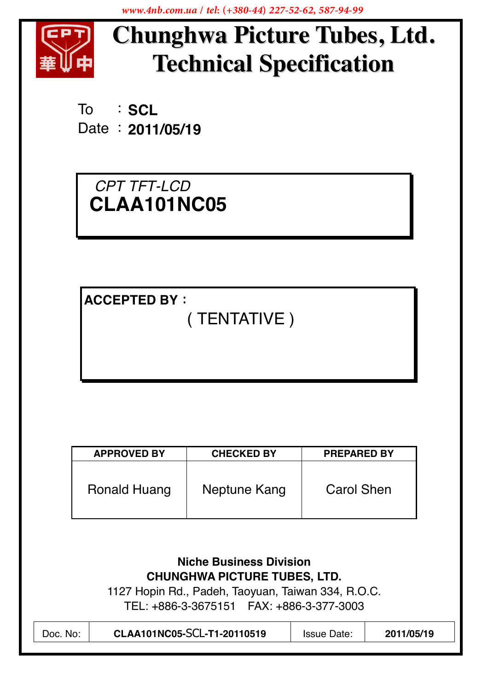www.4nb.com.ua / tel: (+380-44) 227-52-62, 587-94-99



# **Chunghwa Picture Tubes, Ltd. Technical Specification**

: SCL To Date: 2011/05/19

CPT TFT-LCD CLAA101NC05

**ACCEPTED BY:** 

(TENTATIVE)

| <b>APPROVED BY</b> | <b>CHECKED BY</b> | <b>PREPARED BY</b> |
|--------------------|-------------------|--------------------|
| Ronald Huang       | Neptune Kang      | Carol Shen         |

| <b>Niche Business Division</b>                |  |  |  |  |
|-----------------------------------------------|--|--|--|--|
| <b>CHUNGHWA PICTURE TUBES, LTD.</b>           |  |  |  |  |
| $17$ Ilesia Del Dedek Teorge Teirren 001 D.C. |  |  |  |  |

1127 Hopin Rd., Padeh, Taoyuan, Taiwan 334, R.O.C. 

| CLAA101NC05-SCL-T1-20110519 | 2011/05/19         |
|-----------------------------|--------------------|
| Doc. No:                    | <b>Issue Date:</b> |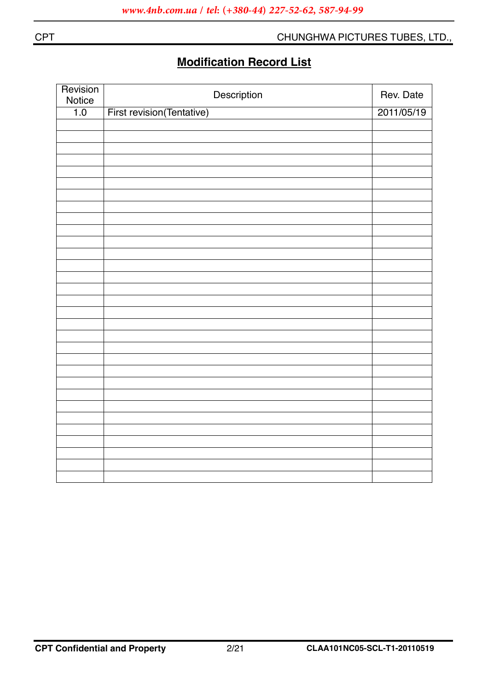## **Modification Record List**

| Revision<br>Notice | Description                      | Rev. Date  |
|--------------------|----------------------------------|------------|
| 1.0                | <b>First revision(Tentative)</b> | 2011/05/19 |
|                    |                                  |            |
|                    |                                  |            |
|                    |                                  |            |
|                    |                                  |            |
|                    |                                  |            |
|                    |                                  |            |
|                    |                                  |            |
|                    |                                  |            |
|                    |                                  |            |
|                    |                                  |            |
|                    |                                  |            |
|                    |                                  |            |
|                    |                                  |            |
|                    |                                  |            |
|                    |                                  |            |
|                    |                                  |            |
|                    |                                  |            |
|                    |                                  |            |
|                    |                                  |            |
|                    |                                  |            |
|                    |                                  |            |
|                    |                                  |            |
|                    |                                  |            |
|                    |                                  |            |
|                    |                                  |            |
|                    |                                  |            |
|                    |                                  |            |
|                    |                                  |            |
|                    |                                  |            |
|                    |                                  |            |
|                    |                                  |            |

**CPT**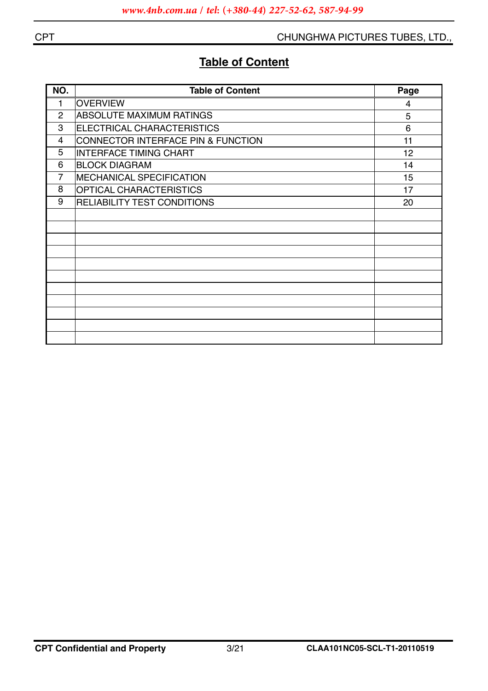## **Table of Content**

| NO.            | <b>Table of Content</b>            | Page |
|----------------|------------------------------------|------|
| 1              | <b>OVERVIEW</b>                    | 4    |
| 2              | <b>ABSOLUTE MAXIMUM RATINGS</b>    | 5    |
| 3              | ELECTRICAL CHARACTERISTICS         | 6    |
| 4              | CONNECTOR INTERFACE PIN & FUNCTION | 11   |
| 5              | <b>INTERFACE TIMING CHART</b>      | 12   |
| 6              | <b>BLOCK DIAGRAM</b>               | 14   |
| $\overline{7}$ | <b>MECHANICAL SPECIFICATION</b>    | 15   |
| 8              | <b>OPTICAL CHARACTERISTICS</b>     | 17   |
| 9              | RELIABILITY TEST CONDITIONS        | 20   |
|                |                                    |      |
|                |                                    |      |
|                |                                    |      |
|                |                                    |      |
|                |                                    |      |
|                |                                    |      |
|                |                                    |      |
|                |                                    |      |
|                |                                    |      |
|                |                                    |      |
|                |                                    |      |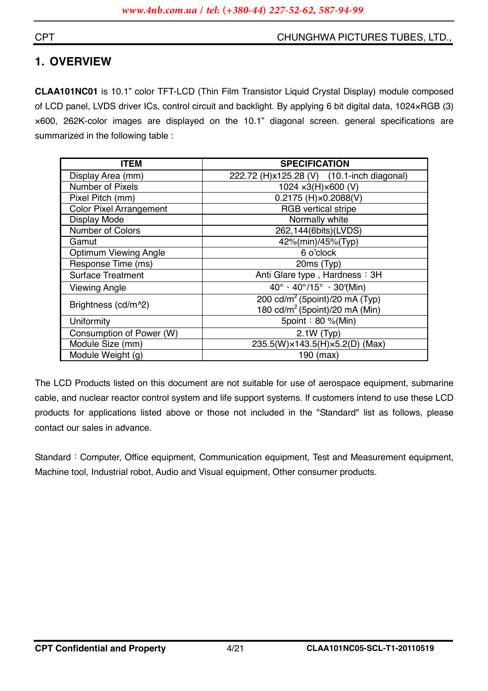#### **CPT**

#### CHUNGHWA PICTURES TUBES, LTD.,

## 1. OVERVIEW

CLAA101NC01 is 10.1" color TFT-LCD (Thin Film Transistor Liquid Crystal Display) module composed of LCD panel, LVDS driver ICs, control circuit and backlight. By applying 6 bit digital data, 1024×RGB (3) x600, 262K-color images are displayed on the 10.1" diagonal screen. general specifications are summarized in the following table :

| ITEM                           | <b>SPECIFICATION</b>                                                                     |
|--------------------------------|------------------------------------------------------------------------------------------|
| Display Area (mm)              | 222.72 (H)x125.28 (V) (10.1-inch diagonal)                                               |
| <b>Number of Pixels</b>        | 1024 x3(H) x600 (V)                                                                      |
| Pixel Pitch (mm)               | $0.2175$ (H) $\times$ 0.2088(V)                                                          |
| <b>Color Pixel Arrangement</b> | <b>RGB</b> vertical stripe                                                               |
| Display Mode                   | Normally white                                                                           |
| <b>Number of Colors</b>        | 262,144(6bits)(LVDS)                                                                     |
| Gamut                          | 42%(min)/45%(Typ)                                                                        |
| <b>Optimum Viewing Angle</b>   | 6 o'clock                                                                                |
| Response Time (ms)             | 20ms (Typ)                                                                               |
| <b>Surface Treatment</b>       | Anti Glare type, Hardness: 3H                                                            |
| <b>Viewing Angle</b>           | $40^{\circ} \cdot 40^{\circ}/15^{\circ} \cdot 30^{\circ}$ (Min)                          |
| Brightness (cd/m^2)            | 200 cd/m <sup>2</sup> (5point)/20 mA (Typ)<br>180 cd/m <sup>2</sup> (5point)/20 mA (Min) |
| Uniformity                     | 5point: 80 %(Min)                                                                        |
| Consumption of Power (W)       | $2.1W$ (Typ)                                                                             |
| Module Size (mm)               | 235.5(W)×143.5(H)×5.2(D) (Max)                                                           |
| Module Weight (g)              | 190 (max)                                                                                |

The LCD Products listed on this document are not suitable for use of aerospace equipment, submarine cable, and nuclear reactor control system and life support systems. If customers intend to use these LCD products for applications listed above or those not included in the "Standard" list as follows, please contact our sales in advance.

Standard: Computer, Office equipment, Communication equipment, Test and Measurement equipment, Machine tool, Industrial robot, Audio and Visual equipment, Other consumer products.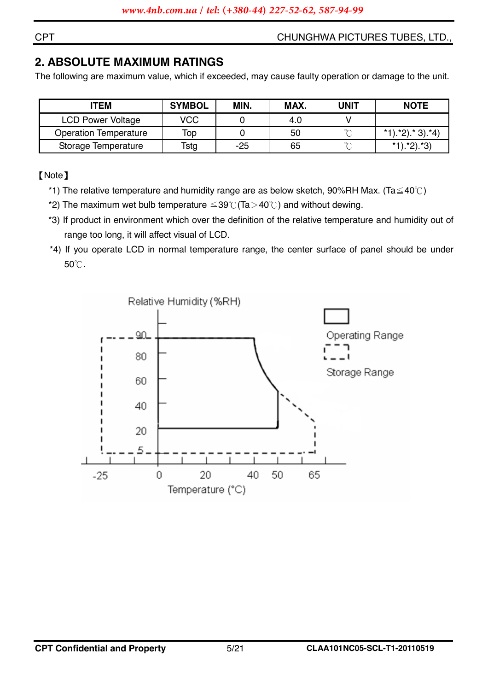## **2. ABSOLUTE MAXIMUM RATINGS**

The following are maximum value, which if exceeded, may cause faulty operation or damage to the unit.

| <b>ITEM</b>                  | <b>SYMBOL</b> | MIN.  | MAX. | <b>UNIT</b> | <b>NOTE</b>                 |
|------------------------------|---------------|-------|------|-------------|-----------------------------|
| <b>LCD Power Voltage</b>     | <b>VCC</b>    |       | 4.0  |             |                             |
| <b>Operation Temperature</b> | Top           |       | 50   | $\sim$      | $*1$ . $*2$ . $*3$ . $*4$ ) |
| Storage Temperature          | Tstg          | $-25$ | 65   | $\sim$      | $*1$ . $*2$ . $*3$          |

**[Note]** 

- \*1) The relative temperature and humidity range are as below sketch, 90%RH Max. (Ta $\leq$ 40°C)
- \*2) The maximum wet bulb temperature  $\leq$  39°C (Ta > 40°C) and without dewing.
- \*3) If product in environment which over the definition of the relative temperature and humidity out of range too long, it will affect visual of LCD.
- \*4) If you operate LCD in normal temperature range, the center surface of panel should be under 50°C.



**CPT**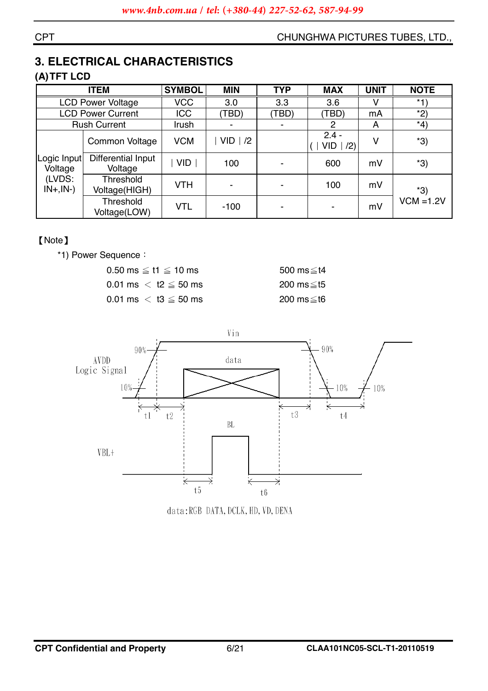## **3. ELECTRICAL CHARACTERISTICS**

## (A) TFT LCD

|                        | <b>ITEM</b>                      | <b>SYMBOL</b> | <b>MIN</b> | <b>TYP</b> | <b>MAX</b>                   | <b>UNIT</b> | <b>NOTE</b>  |
|------------------------|----------------------------------|---------------|------------|------------|------------------------------|-------------|--------------|
|                        | <b>LCD Power Voltage</b>         | <b>VCC</b>    | 3.0        | 3.3        | 3.6                          |             | $*1)$        |
|                        | <b>LCD Power Current</b>         | ICC           | (TBD)      | (TBD)      | (TBD)                        | mA          | $*2)$        |
|                        | <b>Rush Current</b>              | Irush         |            | ۰          | 2                            | A           | $*4)$        |
|                        | Common Voltage                   | <b>VCM</b>    | $VID$   /2 |            | $2.4 -$<br><b>VID</b><br>(2) |             | $*3)$        |
| Logic Input<br>Voltage | Differential Input<br>Voltage    | <b>VID</b>    | 100        |            | 600                          | mV          | $*3)$        |
| (LVDS:<br>$IN+, IN-)$  | Threshold<br>Voltage(HIGH)       | <b>VTH</b>    |            |            | 100                          | mV          | $*3)$        |
|                        | <b>Threshold</b><br>Voltage(LOW) | <b>VTL</b>    | $-100$     |            |                              | mV          | $VCM = 1.2V$ |

#### [Note]

\*1) Power Sequence:

| $0.50$ ms $\leq$ t1 $\leq$ 10 ms | 500 ms≤t4 |
|----------------------------------|-----------|
| 0.01 ms $\,<\,$ t2 $\leq$ 50 ms  | 200 ms≤t5 |
| 0.01 ms $\,<\,$ t3 $\leq$ 50 ms  | 200 ms≦t6 |



data: RGB DATA, DCLK, HD, VD, DENA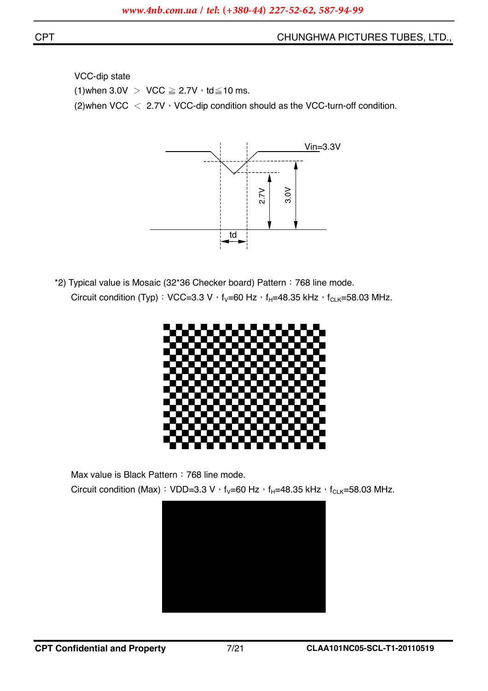VCC-dip state (1) when  $3.0V > \text{VCC} \geq 2.7V \cdot \text{td} \leq 10 \text{ ms}.$ (2) when VCC  $\langle$  2.7V  $\cdot$  VCC-dip condition should as the VCC-turn-off condition.



\*2) Typical value is Mosaic (32\*36 Checker board) Pattern: 768 line mode. Circuit condition (Typ): VCC=3.3 V  $\cdot$  f<sub>V</sub>=60 Hz  $\cdot$  f<sub>H</sub>=48.35 kHz  $\cdot$  f<sub>CLK</sub>=58.03 MHz.



Max value is Black Pattern : 768 line mode.

Circuit condition (Max): VDD=3.3 V  $\cdot$  f<sub>V</sub>=60 Hz  $\cdot$  f<sub>H</sub>=48.35 kHz  $\cdot$  f<sub>CLK</sub>=58.03 MHz.

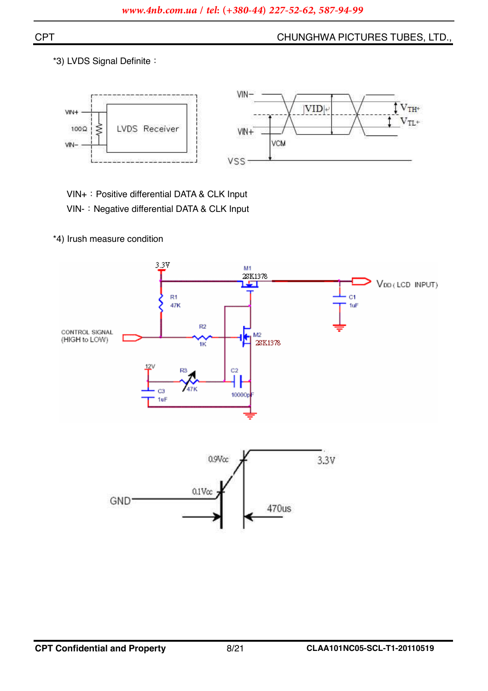$\overline{\uparrow}$   $\rm V_{TH^+}$ 

 $V_{TL^*}$ 

\*3) LVDS Signal Definite:



VIN+: Positive differential DATA & CLK Input

VIN-: Negative differential DATA & CLK Input

\*4) Irush measure condition



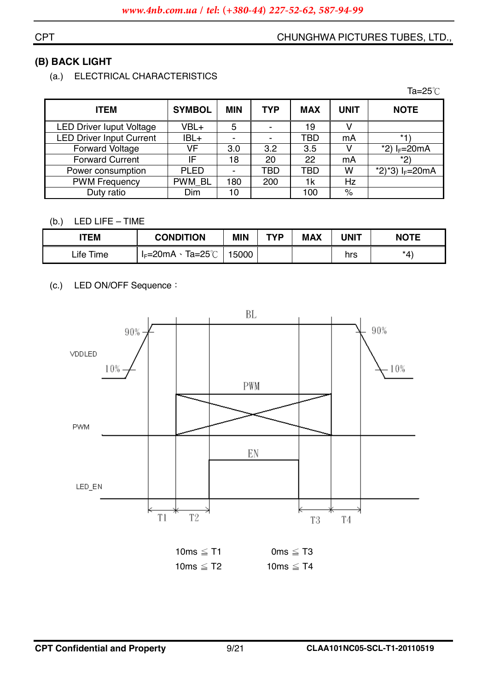#### **CPT**

## (B) BACK LIGHT

(a.) ELECTRICAL CHARACTERISTICS

|                                 |               |            |     |            |             | Ta=25 $°C$        |
|---------------------------------|---------------|------------|-----|------------|-------------|-------------------|
| <b>ITEM</b>                     | <b>SYMBOL</b> | <b>MIN</b> | TYP | <b>MAX</b> | <b>UNIT</b> | <b>NOTE</b>       |
| <b>LED Driver luput Voltage</b> | VBL+          | 5          |     | 19         |             |                   |
| <b>LED Driver Input Current</b> | IBL+          | -          |     | TBD        | mA          | $*1$              |
| <b>Forward Voltage</b>          | VF            | 3.0        | 3.2 | 3.5        |             | *2) $I_F = 20mA$  |
| <b>Forward Current</b>          | IF            | 18         | 20  | 22         | mA          | $*2)$             |
| Power consumption               | <b>PLED</b>   | ۰          | TBD | TBD        | W           | *2)*3) $I_F=20mA$ |
| <b>PWM Frequency</b>            | PWM_BL        | 180        | 200 | 1k         | Hz          |                   |
| Duty ratio                      | Dim           | 10         |     | 100        | $\%$        |                   |

#### (b.) LED LIFE - TIME

| <b>ITEM</b>               | <b>CONDITION</b>       | <b>MIN</b> | TVD | <b>MAX</b> | <b>UNIT</b> | <b>NOTE</b> |
|---------------------------|------------------------|------------|-----|------------|-------------|-------------|
| ∟ife <sup>¬</sup><br>Time | Ta=25℃<br>$I_F = 20mA$ | 5000       |     |            | hrs         | $*_{4}$     |

#### LED ON/OFF Sequence:  $(c.)$



| 10ms $\leq$ T1 | 0ms $\leq$ T3  |
|----------------|----------------|
| 10ms $\leq$ T2 | 10ms $\leq$ T4 |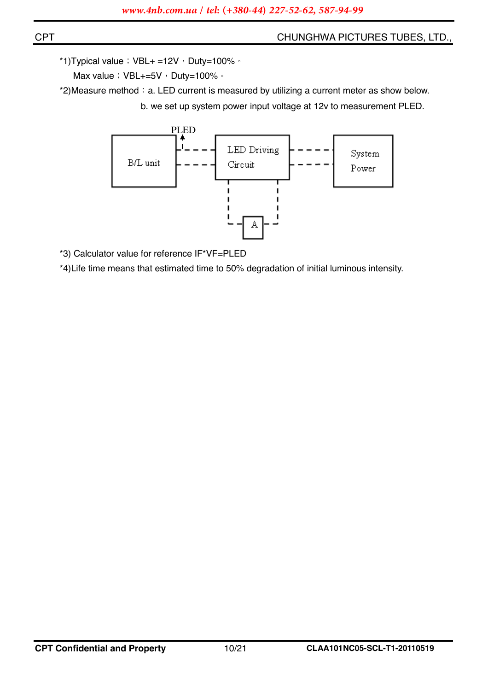\*1) Typical value  $\div$  VBL+ =12V  $\cdot$  Duty=100%  $\circ$ 

Max value ; VBL+=5V , Duty=100% 。

\*2) Measure method: a. LED current is measured by utilizing a current meter as show below. b. we set up system power input voltage at 12v to measurement PLED.



\*3) Calculator value for reference IF\*VF=PLED

\*4) Life time means that estimated time to 50% degradation of initial luminous intensity.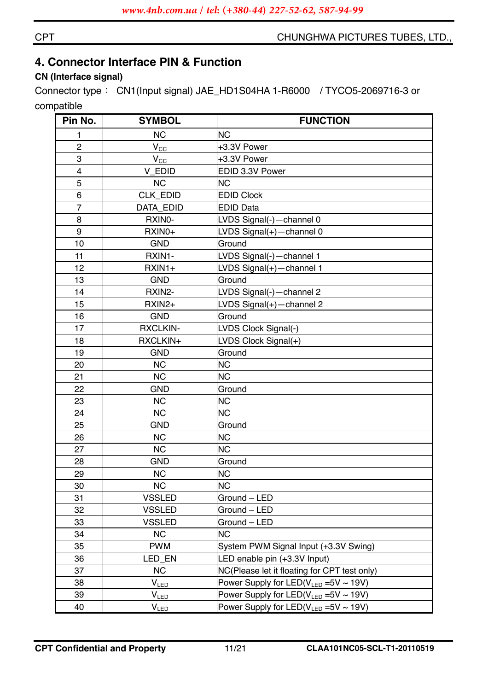## **4. Connector Interface PIN & Function**

### **CN (Interface signal)**

Connector type: CN1(Input signal) JAE\_HD1S04HA 1-R6000 / TYCO5-2069716-3 or compatible

| Pin No.        | <b>SYMBOL</b>    | <b>FUNCTION</b>                               |
|----------------|------------------|-----------------------------------------------|
| 1              | <b>NC</b>        | <b>NC</b>                                     |
| $\overline{2}$ | $V_{\rm CC}$     | +3.3V Power                                   |
| 3              | $V_{CC}$         | +3.3V Power                                   |
| $\overline{4}$ | V_EDID           | EDID 3.3V Power                               |
| 5              | <b>NC</b>        | <b>NC</b>                                     |
| 6              | <b>CLK EDID</b>  | <b>EDID Clock</b>                             |
| $\overline{7}$ | <b>DATA EDID</b> | <b>EDID Data</b>                              |
| 8              | RXINO-           | LVDS Signal(-)-channel 0                      |
| 9              | RXIN0+           | LVDS Signal(+)-channel 0                      |
| 10             | <b>GND</b>       | Ground                                        |
| 11             | RXIN1-           | LVDS Signal(-)-channel 1                      |
| 12             | $RXIN1+$         | LVDS Signal(+)-channel 1                      |
| 13             | <b>GND</b>       | Ground                                        |
| 14             | RXIN2-           | LVDS Signal(-)-channel 2                      |
| 15             | RXIN2+           | LVDS Signal(+)-channel 2                      |
| 16             | <b>GND</b>       | Ground                                        |
| 17             | <b>RXCLKIN-</b>  | LVDS Clock Signal(-)                          |
| 18             | RXCLKIN+         | LVDS Clock Signal(+)                          |
| 19             | <b>GND</b>       | Ground                                        |
| 20             | <b>NC</b>        | <b>NC</b>                                     |
| 21             | <b>NC</b>        | <b>NC</b>                                     |
| 22             | <b>GND</b>       | Ground                                        |
| 23             | <b>NC</b>        | <b>NC</b>                                     |
| 24             | <b>NC</b>        | <b>NC</b>                                     |
| 25             | <b>GND</b>       | Ground                                        |
| 26             | <b>NC</b>        | <b>NC</b>                                     |
| 27             | <b>NC</b>        | <b>NC</b>                                     |
| 28             | <b>GND</b>       | Ground                                        |
| 29             | <b>NC</b>        | <b>NC</b>                                     |
| 30             | <b>NC</b>        | <b>NC</b>                                     |
| 31             | <b>VSSLED</b>    | Ground - LED                                  |
| 32             | <b>VSSLED</b>    | Ground - LED                                  |
| 33             | <b>VSSLED</b>    | Ground - LED                                  |
| 34             | <b>NC</b>        | <b>NC</b>                                     |
| 35             | <b>PWM</b>       | System PWM Signal Input (+3.3V Swing)         |
| 36             | LED_EN           | LED enable pin (+3.3V Input)                  |
| 37             | <b>NC</b>        | NC(Please let it floating for CPT test only)  |
| 38             | $V_{LED}$        | Power Supply for LED( $V_{LED}$ =5V ~ 19V)    |
| 39             | $V_{LED}$        | Power Supply for LED( $V_{LED}$ =5V ~ 19V)    |
| 40             | $V_{LED}$        | Power Supply for $LED(V_{LED} = 5V \sim 19V)$ |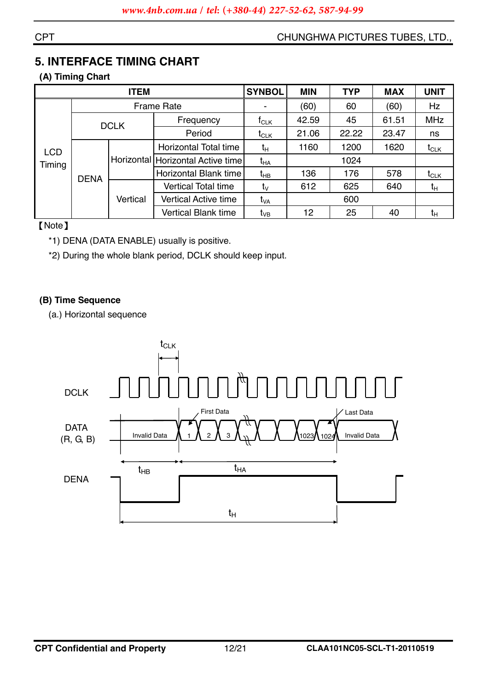#### **CPT**

#### CHUNGHWA PICTURES TUBES, LTD.,

## **5. INTERFACE TIMING CHART**

#### (A) Timing Chart

|                      |             | <b>ITEM</b> |                                     | <b>SYNBOL</b>   | <b>MIN</b> | <b>TYP</b> | <b>MAX</b> | <b>UNIT</b> |
|----------------------|-------------|-------------|-------------------------------------|-----------------|------------|------------|------------|-------------|
|                      |             |             | <b>Frame Rate</b>                   |                 | (60)       | 60         | (60)       | <b>Hz</b>   |
| <b>LCD</b><br>Timing |             | <b>DCLK</b> | Frequency                           | $f_{CLK}$       | 42.59      | 45         | 61.51      | <b>MHz</b>  |
|                      |             |             | Period                              | $t_{CLK}$       | 21.06      | 22.22      | 23.47      | ns          |
|                      | <b>DENA</b> | Vertical    | Horizontal Total time               | $t_H$           | 1160       | 1200       | 1620       | $t_{CLK}$   |
|                      |             |             | Horizontal   Horizontal Active time | $t_{HA}$        |            |            |            |             |
|                      |             |             | Horizontal Blank time               | $t_{HB}$        | 136        | 176        | 578        | $t_{CLK}$   |
|                      |             |             | <b>Vertical Total time</b>          | $t_{\vee}$      | 612        | 625        | 640        | $t_H$       |
|                      |             |             | <b>Vertical Active time</b>         | $t_{VA}$        |            | 600        |            |             |
|                      |             |             | <b>Vertical Blank time</b>          | t <sub>vB</sub> | 12         | 25         | 40         | $t_{H}$     |

[Note]

- \*1) DENA (DATA ENABLE) usually is positive.
- \*2) During the whole blank period, DCLK should keep input.

#### (B) Time Sequence

(a.) Horizontal sequence

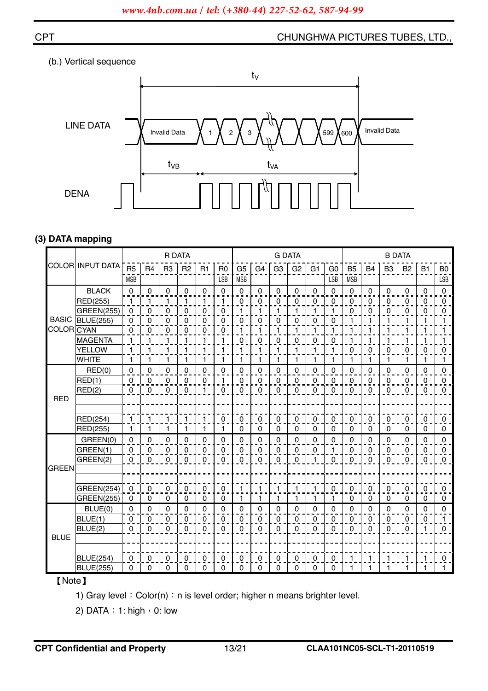



#### **(3) DATA mapping**

|                   |                   | <b>R DATA</b>       |                |                |                |           | <b>G DATA</b>  |                |                |                |                | <b>B DATA</b>  |                |                |             |                |                |                     |                     |
|-------------------|-------------------|---------------------|----------------|----------------|----------------|-----------|----------------|----------------|----------------|----------------|----------------|----------------|----------------|----------------|-------------|----------------|----------------|---------------------|---------------------|
|                   | COLOR INPUT DATA  | R <sub>5</sub>      | R <sub>4</sub> | R <sub>3</sub> | R <sub>2</sub> | R1        | R <sub>0</sub> | G <sub>5</sub> | G <sub>4</sub> | G <sub>3</sub> | G <sub>2</sub> | G <sub>1</sub> | G <sub>0</sub> | B <sub>5</sub> | <b>B4</b>   | B <sub>3</sub> | B <sub>2</sub> | <b>B1</b>           | B <sub>0</sub>      |
|                   |                   | <b>MSB</b>          |                |                |                |           | <b>LSB</b>     | <b>MSB</b>     |                |                |                |                | <b>LSB</b>     | <b>MSB</b>     |             |                |                |                     | LSB                 |
|                   | <b>BLACK</b>      | 0                   | $\mathbf 0$    | 0              | $\pmb{0}$      | 0         | 0              | $\mathbf 0$    | 0              | 0              | 0              | $\mathbf 0$    | $\mathbf 0$    | $\mathbf 0$    | 0           | $\mathbf 0$    | $\pmb{0}$      | 0                   | 0                   |
|                   | RED(255)          | $\mathbf{1}$        | 1              | 1              | 1              | 1         | 1              | 0              | $\Omega$       | $\Omega$       | $\pmb{0}$      | $\Omega$       | $\Omega$       | $\mathbf 0$    | 0           | $\mathbf 0$    | $\overline{0}$ | $\mathbf 0$         | 0                   |
|                   | <b>GREEN(255)</b> | $\mathbf 0$         | 0              | 0              | $\mathbf 0$    | 0         | 0              | 1              | 1              | 1              | 1              | 1              | 1              | 0              | 0           | 0              | $\pmb{0}$      | $\mathbf 0$         | 0                   |
| <b>BASIC</b>      | <b>BLUE(255)</b>  | 0                   | 0              | $\overline{0}$ | 0              | 0         | $\overline{0}$ | 0              | 0              | 0              | $\overline{0}$ | $\mathbf 0$    | 0              | 1              | 1           |                | 1              | $\mathbf{1}$        | $\mathbf{1}$        |
| <b>COLOR</b> CYAN |                   | $\mathbf 0$         | 0              | 0              | 0              | 0         | 0              |                |                | $\mathbf{1}$   | 1              | 1              | 1              | 1              |             |                | 1              | 1                   | 1                   |
|                   | <b>MAGENTA</b>    | $\mathbf{1}$        | 1              | 1              | 1              | 1         | 1              | 0              | 0              | 0              | 0              | 0              | $\mathbf 0$    | 1              | 1           |                | 1              | 1                   | 1                   |
|                   | <b>YELLOW</b>     | $\mathbf{1}$        | 1              | 1              | 1              | 1         | 1              | 1              | 1              | $\mathbf{1}$   | 1              | 1              | 1              | $\pmb{0}$      | 0           | 0              | $\mathbf 0$    | $\pmb{0}$           | $\overline{0}$      |
|                   | <b>WHITE</b>      | $\mathbf{1}$        | 1              | $\mathbf{1}$   | 1              | 1         | 1              | 1              | $\mathbf{1}$   | $\mathbf{1}$   | $\mathbf{1}$   | 1              | $\mathbf{1}$   | 1              | 1           | 1              | $\mathbf{1}$   | 1                   | $\mathbf{1}$        |
|                   | RED(0)            | $\Omega$            | 0              | 0              | 0              | 0         | 0              | 0              | 0              | 0              | 0              | $\Omega$       | $\Omega$       | $\mathbf 0$    | 0           | $\mathbf 0$    | 0              | 0                   | 0                   |
|                   | RED(1)            | $\mathbf 0$         | $\mathbf 0$    | $\mathbf 0$    | $\pmb{0}$      | $\pmb{0}$ | 1              | $\pmb{0}$      | $\mathbf 0$    | $\pmb{0}$      | 0              | $\Omega$       | $\mathbf 0$    | $\pmb{0}$      | $\mathbf 0$ | $\pmb{0}$      | $\pmb{0}$      | $\mathbf 0$         | $\mathsf{O}\xspace$ |
|                   | RED(2)            | $\mathsf{O}\xspace$ | 0              | $\mathbf 0$    | 0              | 1         | 0              | $\mathbf 0$    | $\mathbf 0$    | $\mathbf 0$    | $\pmb{0}$      | $\Omega$       | $\Omega$       | 0              | $\mathbf 0$ | $\pmb{0}$      | $\pmb{0}$      | $\mathsf{O}\xspace$ | $\mathbf 0$         |
| <b>RED</b>        |                   |                     |                |                |                |           |                |                |                |                |                |                |                |                |             |                |                |                     |                     |
|                   |                   |                     |                |                |                |           |                |                |                |                |                |                |                |                |             |                |                |                     |                     |
|                   | <b>RED(254)</b>   | $\overline{1}$      | $\mathbf{1}$   | $\mathbf{1}$   | $\mathbf{1}$   | 1         | $\mathbf 0$    | $\mathbf 0$    | 0              | $\mathbf 0$    | 0              | $\mathbf{0}$   | 0              | 0              | $\mathbf 0$ | $\mathbf 0$    | $\mathbf 0$    | $\mathbf 0$         | 0                   |
|                   | RED(255)          | $\mathbf{1}$        | $\mathbf{1}$   | 1              | 1              | 1         | 1              | 0              | $\Omega$       | $\mathbf 0$    | 0              | $\Omega$       | $\mathbf 0$    | $\mathbf 0$    | $\Omega$    | $\mathbf 0$    | 0              | 0                   | $\mathbf 0$         |
|                   | GREEN(0)          | 0                   | 0              | $\mathbf 0$    | 0              | 0         | 0              | 0              | 0              | 0              | $\pmb{0}$      | $\Omega$       | $\Omega$       | 0              | 0           | 0              | $\pmb{0}$      | 0                   | 0                   |
|                   | GREEN(1)          | $\mathbf 0$         | 0              | $\mathbf 0$    | $\pmb{0}$      | 0         | 0              | 0              | 0              | $\mathbf 0$    | $\pmb{0}$      | $\Omega$       | 1              | 0              | $\mathbf 0$ | 0              | $\pmb{0}$      | $\mathbf 0$         | 0                   |
|                   | GREEN(2)          | $\Omega$            | $\mathbf{0}$   | $\mathbf{0}$   | 0              | 0         | $\mathbf 0$    | $\Omega$       | $\Omega$       | 0              | $\pmb{0}$      | 1              | $\Omega$       | $\Omega$       | $\Omega$    | $\mathbf 0$    | $\mathbf 0$    | $\mathbf 0$         | $\mathbf{0}$        |
| <b>GREEN</b>      |                   |                     |                |                |                |           |                |                |                |                |                |                |                |                |             |                |                |                     |                     |
|                   |                   |                     |                |                |                |           |                |                |                |                |                |                |                |                |             |                |                |                     |                     |
|                   | <b>GREEN(254)</b> | $\mathbf{0}$        | $\mathbf 0$    | $\mathbf 0$    | $\Omega$       | 0         | $\mathbf 0$    | 1              | 1              | $\mathbf{1}$   | $\mathbf{1}$   | $\mathbf{1}$   | 0              | $\mathbf 0$    | 0           | $\mathbf 0$    | 0              | 0                   | 0                   |
|                   | <b>GREEN(255)</b> | 0                   | $\mathbf 0$    | $\mathbf 0$    | 0              | 0         | 0              | 1              | 1              | $\mathbf{1}$   | $\mathbf{1}$   | 1              | $\mathbf{1}$   | 0              | $\Omega$    | $\mathbf 0$    | 0              | 0                   | 0                   |
|                   | BLUE(0)           | 0                   | 0              | 0              | 0              | 0         | 0              | $\Omega$       | 0              | 0              | 0              | 0              | $\Omega$       | 0              | 0           | $\mathbf 0$    | 0              | 0                   | $\Omega$            |
|                   | BLUE(1)           | $\Omega$            | 0              | $\mathbf 0$    | 0              | 0         | 0              | 0              | 0              | $\mathbf 0$    | 0              | $\Omega$       | 0              | $\mathbf 0$    | 0           | 0              | 0              | $\mathbf 0$         | 1.                  |
|                   | BLUE(2)           | $\Omega$            | $\Omega$       | $\mathbf{0}$   | 0              | 0         | 0              | $\Omega$       | $\Omega$       | $\Omega$       | $\Omega$       | $\Omega$       | $\Omega$       | 0              | $\Omega$    | 0              | $\mathbf 0$    | $\mathbf{1}$        | $\mathbf 0$         |
| <b>BLUE</b>       |                   |                     |                |                |                |           |                |                |                |                |                |                |                |                |             |                |                |                     |                     |
|                   |                   |                     |                |                |                |           |                |                |                |                |                |                |                |                |             |                |                |                     |                     |
|                   | <b>BLUE(254)</b>  | 0                   | $\mathbf 0$    | $\mathbf 0$    | $\Omega$       | 0         | $\pmb{0}$      | 0              | 0              | $\mathbf 0$    | 0              | $\Omega$       | $\Omega$       | $\mathbf{1}$   | 1           | 1              | 1              | $\mathbf{1}$        | 0                   |
|                   | <b>BLUE(255)</b>  | $\mathbf 0$         | 0              | $\mathbf 0$    | $\Omega$       | 0         | 0              | 0              | 0              | 0              | 0              | $\Omega$       | 0              | 1              | 1           | $\mathbf 1$    | 1              | 1                   | $\mathbf{1}$        |

### [Note]

1) Gray level: Color(n): n is level order; higher n means brighter level.

2) DATA: 1: high  $\cdot$  0: low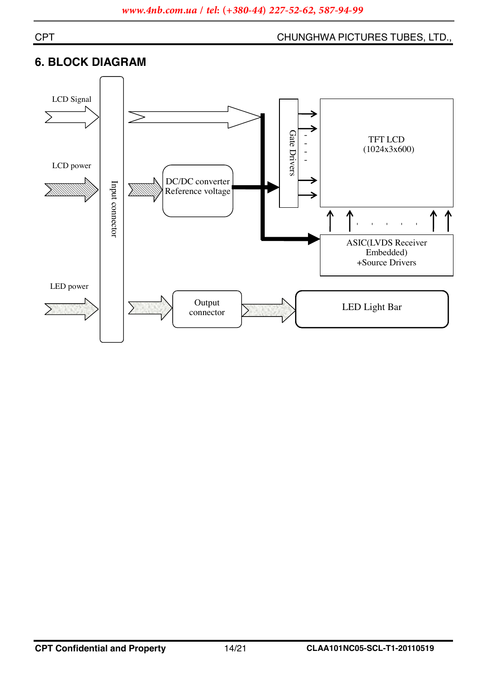#### **CPT**

#### CHUNGHWA PICTURES TUBES, LTD.,

## **6. BLOCK DIAGRAM**

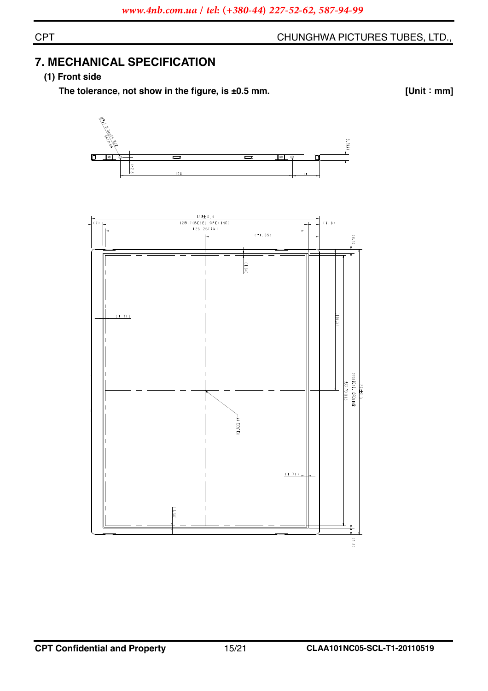## **7. MECHANICAL SPECIFICATION**

#### (1) Front side

The tolerance, not show in the figure, is  $\pm 0.5$  mm.

 $[Unit : mm]$ 



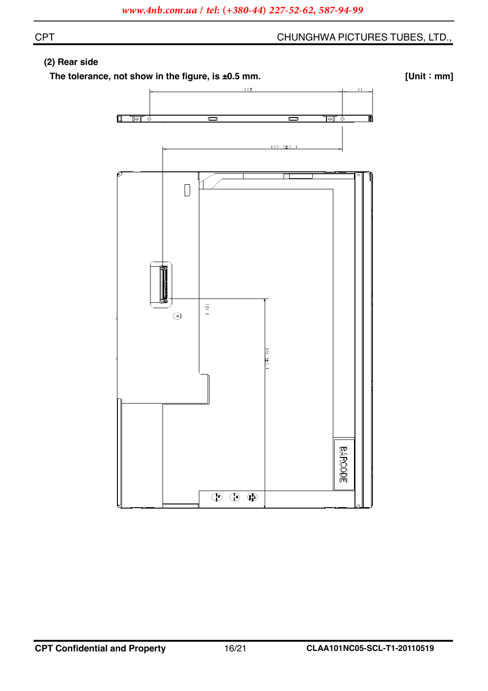#### (2) Rear side

The tolerance, not show in the figure, is ±0.5 mm.

 $[Unit : mm]$ 

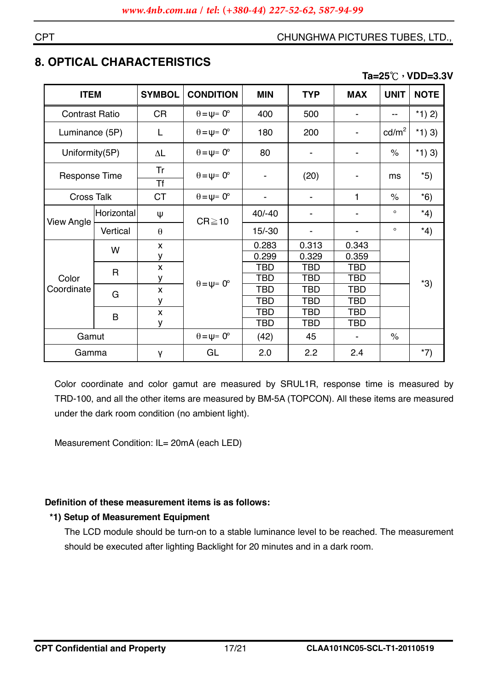## **8. OPTICAL CHARACTERISTICS**

#### Ta=25℃, VDD=3.3V

| <b>ITEM</b>           |              | <b>SYMBOL</b>      | <b>CONDITION</b>            | <b>MIN</b>               | <b>TYP</b> | <b>MAX</b> | <b>UNIT</b>     | <b>NOTE</b> |
|-----------------------|--------------|--------------------|-----------------------------|--------------------------|------------|------------|-----------------|-------------|
| <b>Contrast Ratio</b> |              | <b>CR</b>          | $\theta = \psi = 0^{\circ}$ | 400                      | 500        |            |                 | *1) 2)      |
| Luminance (5P)        |              | L                  | $\theta = \psi = 0^{\circ}$ | 180                      | 200        |            | $\text{cd/m}^2$ | *1 $(3)$    |
| Uniformity(5P)        |              | $\Delta\mathsf{L}$ | $\theta = \psi = 0^{\circ}$ | 80                       |            |            | $\%$            | $*1)$ 3)    |
| <b>Response Time</b>  |              | Tr<br><b>Tf</b>    | $\theta = \psi = 0^{\circ}$ | $\overline{\phantom{a}}$ | (20)       |            | ms              | $*5)$       |
| <b>Cross Talk</b>     |              | <b>CT</b>          | $\theta = \psi = 0^{\circ}$ | $\blacksquare$           |            | 1          | $\%$            | $*6)$       |
|                       | Horizontal   | Ψ                  | $CR \ge 10$                 | $40/-40$                 |            | ۰          | $\circ$         | $*4)$       |
| <b>View Angle</b>     | Vertical     | $\theta$           |                             | $15/-30$                 |            | -          | $\circ$         | $*4)$       |
|                       | W            | $\pmb{\mathsf{X}}$ |                             | 0.283                    | 0.313      | 0.343      |                 |             |
|                       |              | У                  |                             | 0.299                    | 0.329      | 0.359      |                 |             |
|                       | $\mathsf{R}$ | $\pmb{\chi}$       |                             | <b>TBD</b>               | <b>TBD</b> | <b>TBD</b> |                 |             |
| Color                 |              | У                  |                             | <b>TBD</b>               | <b>TBD</b> | <b>TBD</b> |                 | $*3)$       |
| Coordinate            | G            | $\pmb{\mathsf{x}}$ | $\theta = \psi = 0^{\circ}$ | TBD                      | <b>TBD</b> | TBD        |                 |             |
|                       |              | у                  |                             | <b>TBD</b>               | TBD        | <b>TBD</b> |                 |             |
|                       | B            | $\mathsf{x}$       |                             | TBD                      | <b>TBD</b> | <b>TBD</b> |                 |             |
|                       |              | У                  |                             | <b>TBD</b>               | TBD        | TBD        |                 |             |
|                       | Gamut        |                    | $\theta = \psi = 0^{\circ}$ | (42)                     | 45         |            | $\%$            |             |
| Gamma                 |              | γ                  | GL                          | 2.0                      | 2.2        | 2.4        |                 | $*7)$       |

Color coordinate and color gamut are measured by SRUL1R, response time is measured by TRD-100, and all the other items are measured by BM-5A (TOPCON). All these items are measured under the dark room condition (no ambient light).

Measurement Condition: IL= 20mA (each LED)

#### Definition of these measurement items is as follows:

#### \*1) Setup of Measurement Equipment

The LCD module should be turn-on to a stable luminance level to be reached. The measurement should be executed after lighting Backlight for 20 minutes and in a dark room.

**CPT**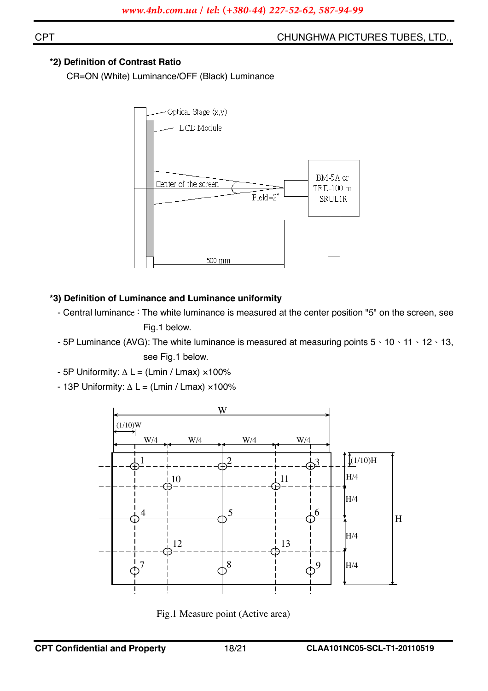**CPT** 

#### CHUNGHWA PICTURES TUBES, LTD.,

#### \*2) Definition of Contrast Ratio

CR=ON (White) Luminance/OFF (Black) Luminance



#### \*3) Definition of Luminance and Luminance uniformity

- Central luminance: The white luminance is measured at the center position "5" on the screen, see Fig.1 below.
- 5P Luminance (AVG): The white luminance is measured at measuring points  $5 \cdot 10 \cdot 11 \cdot 12 \cdot 13$ . see Fig.1 below.
- 5P Uniformity:  $\Delta L = (Lmin / Lmax) \times 100\%$
- 13P Uniformity:  $\Delta L = (Lmin / Lmax) \times 100\%$



Fig.1 Measure point (Active area)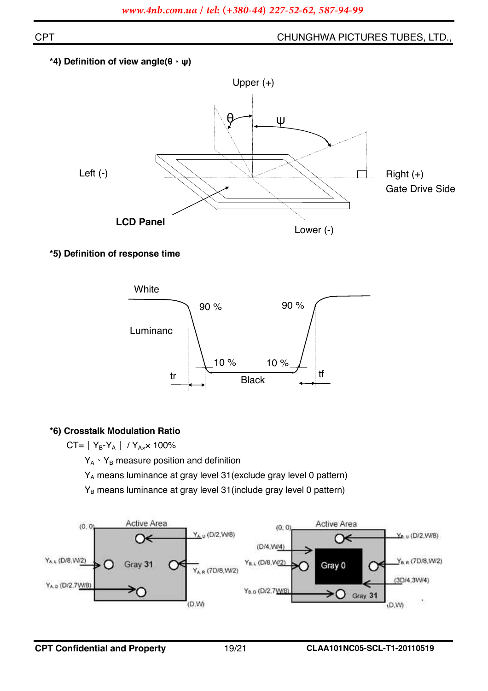#### <sup>\*</sup>4) Definition of view angle(θ, ψ)



#### \*5) Definition of response time



#### \*6) Crosstalk Modulation Ratio

 $CT = |Y_B-Y_A| / Y_{Ax} \times 100\%$ 

 $Y_A \cdot Y_B$  measure position and definition

Y<sub>A</sub> means luminance at gray level 31 (exclude gray level 0 pattern)

Y<sub>B</sub> means luminance at gray level 31 (include gray level 0 pattern)

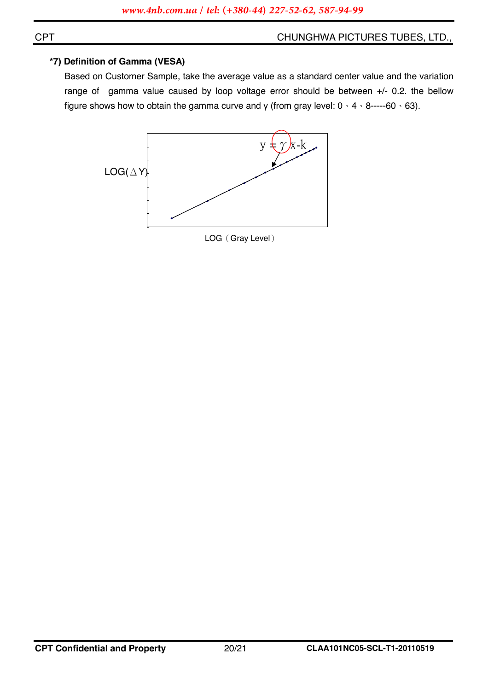#### \*7) Definition of Gamma (VESA)

Based on Customer Sample, take the average value as a standard center value and the variation range of gamma value caused by loop voltage error should be between +/- 0.2. the bellow figure shows how to obtain the gamma curve and  $\gamma$  (from gray level:  $0 \cdot 4 \cdot 8$ -----60  $\cdot$  63).



**CPT**